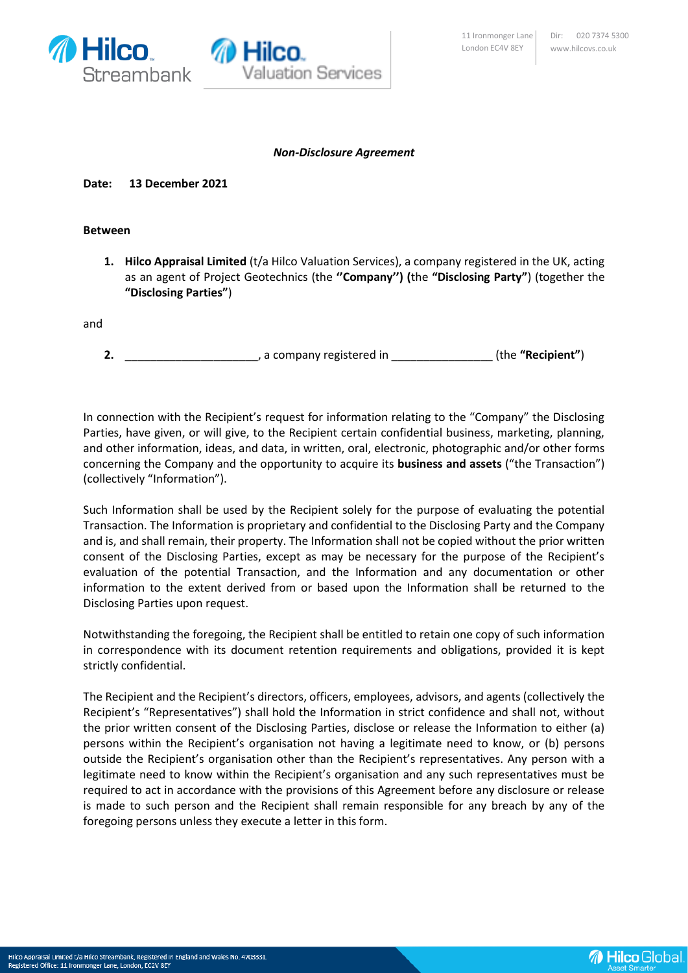

## *Non-Disclosure Agreement*

## **Date: 13 December 2021**

## **Between**

**1. Hilco Appraisal Limited** (t/a Hilco Valuation Services), a company registered in the UK, acting as an agent of Project Geotechnics (the **''Company'') (**the **"Disclosing Party"**) (together the **"Disclosing Parties"**)

and

**2.** \_\_\_\_\_\_\_\_\_\_\_\_\_\_\_\_\_\_\_\_\_, a company registered in \_\_\_\_\_\_\_\_\_\_\_\_\_\_\_\_ (the **"Recipient"**)

In connection with the Recipient's request for information relating to the "Company" the Disclosing Parties, have given, or will give, to the Recipient certain confidential business, marketing, planning, and other information, ideas, and data, in written, oral, electronic, photographic and/or other forms concerning the Company and the opportunity to acquire its **business and assets** ("the Transaction") (collectively "Information").

Such Information shall be used by the Recipient solely for the purpose of evaluating the potential Transaction. The Information is proprietary and confidential to the Disclosing Party and the Company and is, and shall remain, their property. The Information shall not be copied without the prior written consent of the Disclosing Parties, except as may be necessary for the purpose of the Recipient's evaluation of the potential Transaction, and the Information and any documentation or other information to the extent derived from or based upon the Information shall be returned to the Disclosing Parties upon request.

Notwithstanding the foregoing, the Recipient shall be entitled to retain one copy of such information in correspondence with its document retention requirements and obligations, provided it is kept strictly confidential.

The Recipient and the Recipient's directors, officers, employees, advisors, and agents (collectively the Recipient's "Representatives") shall hold the Information in strict confidence and shall not, without the prior written consent of the Disclosing Parties, disclose or release the Information to either (a) persons within the Recipient's organisation not having a legitimate need to know, or (b) persons outside the Recipient's organisation other than the Recipient's representatives. Any person with a legitimate need to know within the Recipient's organisation and any such representatives must be required to act in accordance with the provisions of this Agreement before any disclosure or release is made to such person and the Recipient shall remain responsible for any breach by any of the foregoing persons unless they execute a letter in this form.